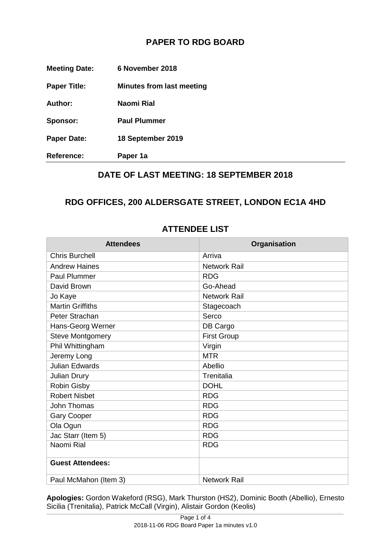## **PAPER TO RDG BOARD**

| <b>Reference:</b>    | Paper 1a                         |
|----------------------|----------------------------------|
| <b>Paper Date:</b>   | 18 September 2019                |
| Sponsor:             | <b>Paul Plummer</b>              |
| Author:              | Naomi Rial                       |
| <b>Paper Title:</b>  | <b>Minutes from last meeting</b> |
| <b>Meeting Date:</b> | 6 November 2018                  |

### **DATE OF LAST MEETING: 18 SEPTEMBER 2018**

#### **RDG OFFICES, 200 ALDERSGATE STREET, LONDON EC1A 4HD**

| <b>Attendees</b>        | Organisation        |
|-------------------------|---------------------|
| <b>Chris Burchell</b>   | Arriva              |
| <b>Andrew Haines</b>    | <b>Network Rail</b> |
| <b>Paul Plummer</b>     | <b>RDG</b>          |
| David Brown             | Go-Ahead            |
| Jo Kaye                 | <b>Network Rail</b> |
| <b>Martin Griffiths</b> | Stagecoach          |
| Peter Strachan          | Serco               |
| Hans-Georg Werner       | DB Cargo            |
| <b>Steve Montgomery</b> | <b>First Group</b>  |
| Phil Whittingham        | Virgin              |
| Jeremy Long             | <b>MTR</b>          |
| <b>Julian Edwards</b>   | Abellio             |
| <b>Julian Drury</b>     | Trenitalia          |
| Robin Gisby             | <b>DOHL</b>         |
| <b>Robert Nisbet</b>    | <b>RDG</b>          |
| John Thomas             | <b>RDG</b>          |
| <b>Gary Cooper</b>      | <b>RDG</b>          |
| Ola Ogun                | <b>RDG</b>          |
| Jac Starr (Item 5)      | <b>RDG</b>          |
| Naomi Rial              | <b>RDG</b>          |
| <b>Guest Attendees:</b> |                     |
| Paul McMahon (Item 3)   | <b>Network Rail</b> |

#### **ATTENDEE LIST**

**Apologies:** Gordon Wakeford (RSG), Mark Thurston (HS2), Dominic Booth (Abellio), Ernesto Sicilia (Trenitalia), Patrick McCall (Virgin), Alistair Gordon (Keolis)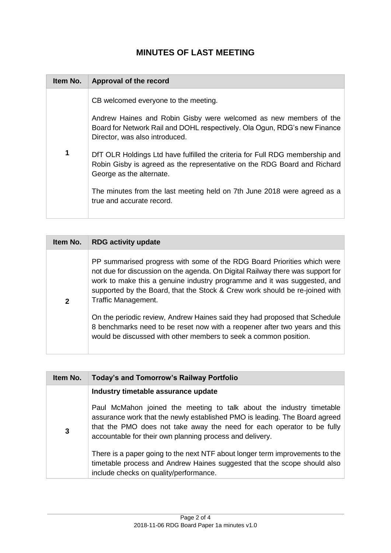# **MINUTES OF LAST MEETING**

| Item No. | Approval of the record                                                                                                                                                                                                                                                                                                                                                                                                                                                                                                    |
|----------|---------------------------------------------------------------------------------------------------------------------------------------------------------------------------------------------------------------------------------------------------------------------------------------------------------------------------------------------------------------------------------------------------------------------------------------------------------------------------------------------------------------------------|
| 1        | CB welcomed everyone to the meeting.<br>Andrew Haines and Robin Gisby were welcomed as new members of the<br>Board for Network Rail and DOHL respectively. Ola Ogun, RDG's new Finance<br>Director, was also introduced.<br>DfT OLR Holdings Ltd have fulfilled the criteria for Full RDG membership and<br>Robin Gisby is agreed as the representative on the RDG Board and Richard<br>George as the alternate.<br>The minutes from the last meeting held on 7th June 2018 were agreed as a<br>true and accurate record. |

| Item No.     | <b>RDG activity update</b>                                                                                                                                                                                                                                                                                                                  |
|--------------|---------------------------------------------------------------------------------------------------------------------------------------------------------------------------------------------------------------------------------------------------------------------------------------------------------------------------------------------|
| $\mathbf{2}$ | PP summarised progress with some of the RDG Board Priorities which were<br>not due for discussion on the agenda. On Digital Railway there was support for<br>work to make this a genuine industry programme and it was suggested, and<br>supported by the Board, that the Stock & Crew work should be re-joined with<br>Traffic Management. |
|              | On the periodic review, Andrew Haines said they had proposed that Schedule<br>8 benchmarks need to be reset now with a reopener after two years and this<br>would be discussed with other members to seek a common position.                                                                                                                |

| Item No. | Today's and Tomorrow's Railway Portfolio                                                                                                                                                                                                                                                 |
|----------|------------------------------------------------------------------------------------------------------------------------------------------------------------------------------------------------------------------------------------------------------------------------------------------|
|          | Industry timetable assurance update                                                                                                                                                                                                                                                      |
| 3        | Paul McMahon joined the meeting to talk about the industry timetable<br>assurance work that the newly established PMO is leading. The Board agreed<br>that the PMO does not take away the need for each operator to be fully<br>accountable for their own planning process and delivery. |
|          | There is a paper going to the next NTF about longer term improvements to the<br>timetable process and Andrew Haines suggested that the scope should also<br>include checks on quality/performance.                                                                                       |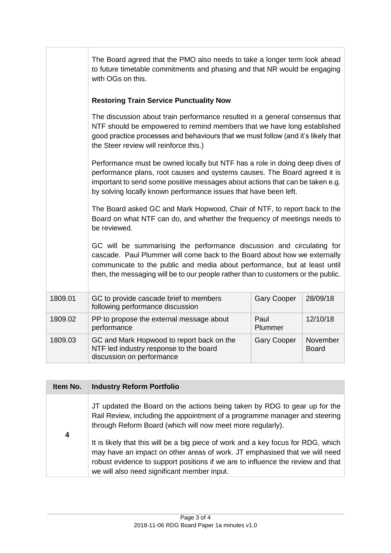|         | The Board agreed that the PMO also needs to take a longer term look ahead<br>to future timetable commitments and phasing and that NR would be engaging<br>with OGs on this.                                                                                                                                          |                    |                          |
|---------|----------------------------------------------------------------------------------------------------------------------------------------------------------------------------------------------------------------------------------------------------------------------------------------------------------------------|--------------------|--------------------------|
|         | <b>Restoring Train Service Punctuality Now</b>                                                                                                                                                                                                                                                                       |                    |                          |
|         | The discussion about train performance resulted in a general consensus that<br>NTF should be empowered to remind members that we have long established<br>good practice processes and behaviours that we must follow (and it's likely that<br>the Steer review will reinforce this.)                                 |                    |                          |
|         | Performance must be owned locally but NTF has a role in doing deep dives of<br>performance plans, root causes and systems causes. The Board agreed it is<br>important to send some positive messages about actions that can be taken e.g.<br>by solving locally known performance issues that have been left.        |                    |                          |
|         | The Board asked GC and Mark Hopwood, Chair of NTF, to report back to the<br>Board on what NTF can do, and whether the frequency of meetings needs to<br>be reviewed.                                                                                                                                                 |                    |                          |
|         | GC will be summarising the performance discussion and circulating for<br>cascade. Paul Plummer will come back to the Board about how we externally<br>communicate to the public and media about performance, but at least until<br>then, the messaging will be to our people rather than to customers or the public. |                    |                          |
| 1809.01 | GC to provide cascade brief to members<br>following performance discussion                                                                                                                                                                                                                                           | <b>Gary Cooper</b> | 28/09/18                 |
| 1809.02 | PP to propose the external message about<br>performance                                                                                                                                                                                                                                                              | Paul<br>Plummer    | 12/10/18                 |
| 1809.03 | GC and Mark Hopwood to report back on the<br>NTF led industry response to the board<br>discussion on performance                                                                                                                                                                                                     | <b>Gary Cooper</b> | November<br><b>Board</b> |

| Item No. | <b>Industry Reform Portfolio</b>                                                                                                                                                                                                                                                                  |
|----------|---------------------------------------------------------------------------------------------------------------------------------------------------------------------------------------------------------------------------------------------------------------------------------------------------|
|          | JT updated the Board on the actions being taken by RDG to gear up for the<br>Rail Review, including the appointment of a programme manager and steering<br>through Reform Board (which will now meet more regularly).                                                                             |
| 4        | It is likely that this will be a big piece of work and a key focus for RDG, which<br>may have an impact on other areas of work. JT emphasised that we will need<br>robust evidence to support positions if we are to influence the review and that<br>we will also need significant member input. |